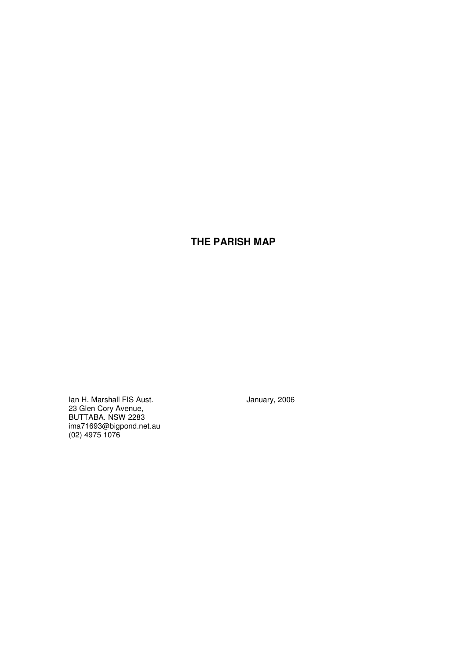# **THE PARISH MAP**

Ian H. Marshall FIS Aust. **In the Contract of Australian Australian** January, 2006 23 Glen Cory Avenue, BUTTABA. NSW 2283 ima71693@bigpond.net.au (02) 4975 1076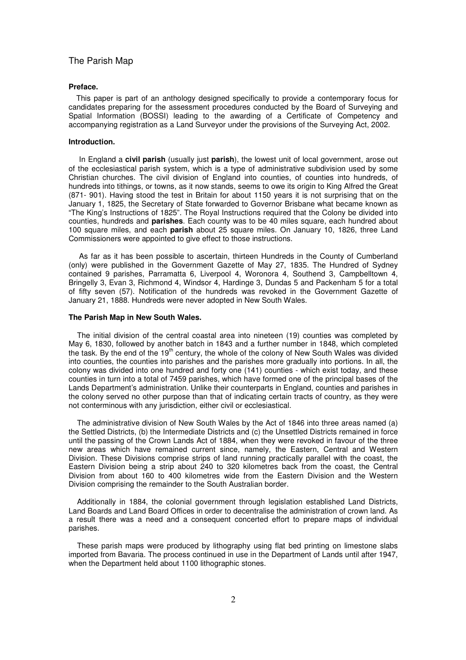#### **Preface.**

This paper is part of an anthology designed specifically to provide a contemporary focus for candidates preparing for the assessment procedures conducted by the Board of Surveying and Spatial Information (BOSSI) leading to the awarding of a Certificate of Competency and accompanying registration as a Land Surveyor under the provisions of the Surveying Act, 2002.

#### **Introduction.**

In England a **civil parish** (usually just **parish**), the lowest unit of local government, arose out of the ecclesiastical parish system, which is a type of administrative subdivision used by some Christian churches. The civil division of England into counties, of counties into hundreds, of hundreds into tithings, or towns, as it now stands, seems to owe its origin to King Alfred the Great (871- 901). Having stood the test in Britain for about 1150 years it is not surprising that on the January 1, 1825, the Secretary of State forwarded to Governor Brisbane what became known as "The King's Instructions of 1825". The Royal Instructions required that the Colony be divided into counties, hundreds and **parishes**. Each county was to be 40 miles square, each hundred about 100 square miles, and each **parish** about 25 square miles. On January 10, 1826, three Land Commissioners were appointed to give effect to those instructions.

As far as it has been possible to ascertain, thirteen Hundreds in the County of Cumberland (only) were published in the Government Gazette of May 27, 1835. The Hundred of Sydney contained 9 parishes, Parramatta 6, Liverpool 4, Woronora 4, Southend 3, Campbelltown 4, Bringelly 3, Evan 3, Richmond 4, Windsor 4, Hardinge 3, Dundas 5 and Packenham 5 for a total of fifty seven (57). Notification of the hundreds was revoked in the Government Gazette of January 21, 1888. Hundreds were never adopted in New South Wales.

### **The Parish Map in New South Wales.**

The initial division of the central coastal area into nineteen (19) counties was completed by May 6, 1830, followed by another batch in 1843 and a further number in 1848, which completed the task. By the end of the 19<sup>th</sup> century, the whole of the colony of New South Wales was divided into counties, the counties into parishes and the parishes more gradually into portions. In all, the colony was divided into one hundred and forty one (141) counties - which exist today, and these counties in turn into a total of 7459 parishes, which have formed one of the principal bases of the Lands Department's administration. Unlike their counterparts in England, counties and parishes in the colony served no other purpose than that of indicating certain tracts of country, as they were not conterminous with any jurisdiction, either civil or ecclesiastical.

The administrative division of New South Wales by the Act of 1846 into three areas named (a) the Settled Districts, (b) the Intermediate Districts and (c) the Unsettled Districts remained in force until the passing of the Crown Lands Act of 1884, when they were revoked in favour of the three new areas which have remained current since, namely, the Eastern, Central and Western Division. These Divisions comprise strips of land running practically parallel with the coast, the Eastern Division being a strip about 240 to 320 kilometres back from the coast, the Central Division from about 160 to 400 kilometres wide from the Eastern Division and the Western Division comprising the remainder to the South Australian border.

Additionally in 1884, the colonial government through legislation established Land Districts, Land Boards and Land Board Offices in order to decentralise the administration of crown land. As a result there was a need and a consequent concerted effort to prepare maps of individual parishes.

These parish maps were produced by lithography using flat bed printing on limestone slabs imported from Bavaria. The process continued in use in the Department of Lands until after 1947, when the Department held about 1100 lithographic stones.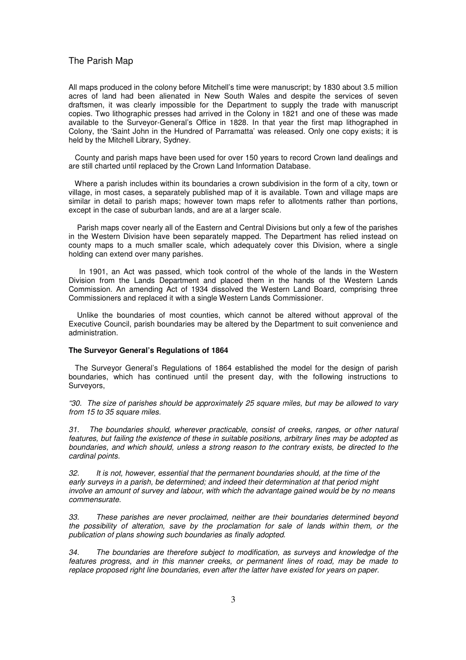All maps produced in the colony before Mitchell's time were manuscript; by 1830 about 3.5 million acres of land had been alienated in New South Wales and despite the services of seven draftsmen, it was clearly impossible for the Department to supply the trade with manuscript copies. Two lithographic presses had arrived in the Colony in 1821 and one of these was made available to the Surveyor-General's Office in 1828. In that year the first map lithographed in Colony, the 'Saint John in the Hundred of Parramatta' was released. Only one copy exists; it is held by the Mitchell Library, Sydney.

County and parish maps have been used for over 150 years to record Crown land dealings and are still charted until replaced by the Crown Land Information Database.

Where a parish includes within its boundaries a crown subdivision in the form of a city, town or village, in most cases, a separately published map of it is available. Town and village maps are similar in detail to parish maps; however town maps refer to allotments rather than portions, except in the case of suburban lands, and are at a larger scale.

Parish maps cover nearly all of the Eastern and Central Divisions but only a few of the parishes in the Western Division have been separately mapped. The Department has relied instead on county maps to a much smaller scale, which adequately cover this Division, where a single holding can extend over many parishes.

In 1901, an Act was passed, which took control of the whole of the lands in the Western Division from the Lands Department and placed them in the hands of the Western Lands Commission. An amending Act of 1934 dissolved the Western Land Board, comprising three Commissioners and replaced it with a single Western Lands Commissioner.

Unlike the boundaries of most counties, which cannot be altered without approval of the Executive Council, parish boundaries may be altered by the Department to suit convenience and administration.

### **The Surveyor General's Regulations of 1864**

The Surveyor General's Regulations of 1864 established the model for the design of parish boundaries, which has continued until the present day, with the following instructions to Surveyors,

*"30. The size of parishes should be approximately 25 square miles, but may be allowed to vary from 15 to 35 square miles.*

*31. The boundaries should, wherever practicable, consist of creeks, ranges, or other natural features, but failing the existence of these in suitable positions, arbitrary lines may be adopted as boundaries, and which should, unless a strong reason to the contrary exists, be directed to the cardinal points.*

*32. It is not, however, essential that the permanent boundaries should, at the time of the early surveys in a parish, be determined; and indeed their determination at that period might involve an amount of survey and labour, with which the advantage gained would be by no means commensurate.*

*33. These parishes are never proclaimed, neither are their boundaries determined beyond the possibility of alteration, save by the proclamation for sale of lands within them, or the publication of plans showing such boundaries as finally adopted.*

*34. The boundaries are therefore subject to modification, as surveys and knowledge of the features progress, and in this manner creeks, or permanent lines of road, may be made to replace proposed right line boundaries, even after the latter have existed for years on paper.*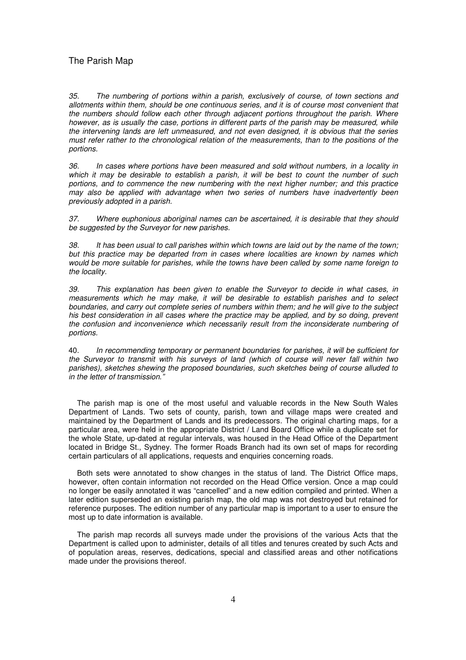*35. The numbering of portions within a parish, exclusively of course, of town sections and allotments within them, should be one continuous series, and it is of course most convenient that the numbers should follow each other through adjacent portions throughout the parish. Where however, as is usually the case, portions in different parts of the parish may be measured, while the intervening lands are left unmeasured, and not even designed, it is obvious that the series must refer rather to the chronological relation of the measurements, than to the positions of the portions.*

*36. In cases where portions have been measured and sold without numbers, in a locality in* which it may be desirable to establish a parish, it will be best to count the number of such *portions, and to commence the new numbering with the next higher number; and this practice may also be applied with advantage when two series of numbers have inadvertently been previously adopted in a parish.*

*37. Where euphonious aboriginal names can be ascertained, it is desirable that they should be suggested by the Surveyor for new parishes.*

38. It has been usual to call parishes within which towns are laid out by the name of the town: *but this practice may be departed from in cases where localities are known by names which would be more suitable for parishes, while the towns have been called by some name foreign to the locality.*

*39. This explanation has been given to enable the Surveyor to decide in what cases, in measurements which he may make, it will be desirable to establish parishes and to select boundaries, and carry out complete series of numbers within them; and he will give to the subject his best consideration in all cases where the practice may be applied, and by so doing, prevent the confusion and inconvenience which necessarily result from the inconsiderate numbering of portions.*

40. *In recommending temporary or permanent boundaries for parishes, it will be sufficient for the Surveyor to transmit with his surveys of land (which of course will never fall within two parishes), sketches shewing the proposed boundaries, such sketches being of course alluded to in the letter of transmission."*

The parish map is one of the most useful and valuable records in the New South Wales Department of Lands. Two sets of county, parish, town and village maps were created and maintained by the Department of Lands and its predecessors. The original charting maps, for a particular area, were held in the appropriate District / Land Board Office while a duplicate set for the whole State, up-dated at regular intervals, was housed in the Head Office of the Department located in Bridge St., Sydney. The former Roads Branch had its own set of maps for recording certain particulars of all applications, requests and enquiries concerning roads.

Both sets were annotated to show changes in the status of land. The District Office maps, however, often contain information not recorded on the Head Office version. Once a map could no longer be easily annotated it was "cancelled" and a new edition compiled and printed. When a later edition superseded an existing parish map, the old map was not destroyed but retained for reference purposes. The edition number of any particular map is important to a user to ensure the most up to date information is available.

The parish map records all surveys made under the provisions of the various Acts that the Department is called upon to administer, details of all titles and tenures created by such Acts and of population areas, reserves, dedications, special and classified areas and other notifications made under the provisions thereof.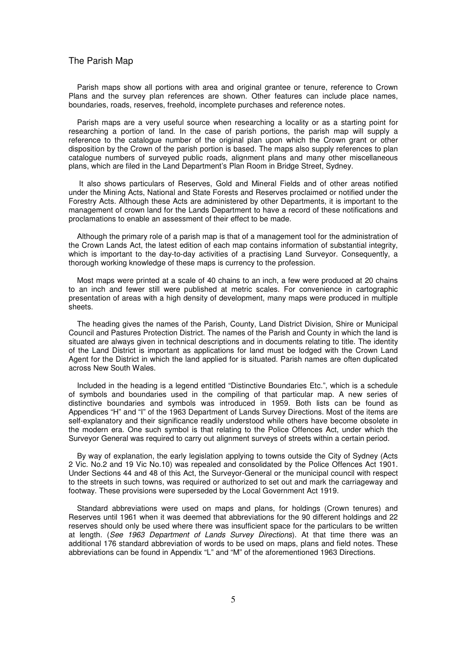Parish maps show all portions with area and original grantee or tenure, reference to Crown Plans and the survey plan references are shown. Other features can include place names, boundaries, roads, reserves, freehold, incomplete purchases and reference notes.

Parish maps are a very useful source when researching a locality or as a starting point for researching a portion of land. In the case of parish portions, the parish map will supply a reference to the catalogue number of the original plan upon which the Crown grant or other disposition by the Crown of the parish portion is based. The maps also supply references to plan catalogue numbers of surveyed public roads, alignment plans and many other miscellaneous plans, which are filed in the Land Department's Plan Room in Bridge Street, Sydney.

It also shows particulars of Reserves, Gold and Mineral Fields and of other areas notified under the Mining Acts, National and State Forests and Reserves proclaimed or notified under the Forestry Acts. Although these Acts are administered by other Departments, it is important to the management of crown land for the Lands Department to have a record of these notifications and proclamations to enable an assessment of their effect to be made.

Although the primary role of a parish map is that of a management tool for the administration of the Crown Lands Act, the latest edition of each map contains information of substantial integrity, which is important to the day-to-day activities of a practising Land Surveyor. Consequently, a thorough working knowledge of these maps is currency to the profession.

Most maps were printed at a scale of 40 chains to an inch, a few were produced at 20 chains to an inch and fewer still were published at metric scales. For convenience in cartographic presentation of areas with a high density of development, many maps were produced in multiple .<br>sheets

The heading gives the names of the Parish, County, Land District Division, Shire or Municipal Council and Pastures Protection District. The names of the Parish and County in which the land is situated are always given in technical descriptions and in documents relating to title. The identity of the Land District is important as applications for land must be lodged with the Crown Land Agent for the District in which the land applied for is situated. Parish names are often duplicated across New South Wales.

Included in the heading is a legend entitled "Distinctive Boundaries Etc.", which is a schedule of symbols and boundaries used in the compiling of that particular map. A new series of distinctive boundaries and symbols was introduced in 1959. Both lists can be found as Appendices "H" and "I" of the 1963 Department of Lands Survey Directions. Most of the items are self-explanatory and their significance readily understood while others have become obsolete in the modern era. One such symbol is that relating to the Police Offences Act, under which the Surveyor General was required to carry out alignment surveys of streets within a certain period.

By way of explanation, the early legislation applying to towns outside the City of Sydney (Acts 2 Vic. No.2 and 19 Vic No.10) was repealed and consolidated by the Police Offences Act 1901. Under Sections 44 and 48 of this Act, the Surveyor-General or the municipal council with respect to the streets in such towns, was required or authorized to set out and mark the carriageway and footway. These provisions were superseded by the Local Government Act 1919.

Standard abbreviations were used on maps and plans, for holdings (Crown tenures) and Reserves until 1961 when it was deemed that abbreviations for the 90 different holdings and 22 reserves should only be used where there was insufficient space for the particulars to be written at length. (*See 1963 Department of Lands Survey Directions*). At that time there was an additional 176 standard abbreviation of words to be used on maps, plans and field notes. These abbreviations can be found in Appendix "L" and "M" of the aforementioned 1963 Directions.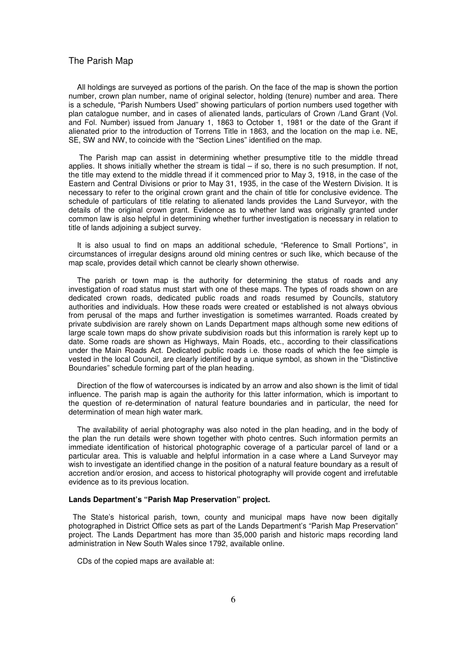All holdings are surveyed as portions of the parish. On the face of the map is shown the portion number, crown plan number, name of original selector, holding (tenure) number and area. There is a schedule, "Parish Numbers Used" showing particulars of portion numbers used together with plan catalogue number, and in cases of alienated lands, particulars of Crown /Land Grant (Vol. and Fol. Number) issued from January 1, 1863 to October 1, 1981 or the date of the Grant if alienated prior to the introduction of Torrens Title in 1863, and the location on the map i.e. NE, SE, SW and NW, to coincide with the "Section Lines" identified on the map.

The Parish map can assist in determining whether presumptive title to the middle thread applies. It shows initially whether the stream is tidal  $-$  if so, there is no such presumption. If not, the title may extend to the middle thread if it commenced prior to May 3, 1918, in the case of the Eastern and Central Divisions or prior to May 31, 1935, in the case of the Western Division. It is necessary to refer to the original crown grant and the chain of title for conclusive evidence. The schedule of particulars of title relating to alienated lands provides the Land Surveyor, with the details of the original crown grant. Evidence as to whether land was originally granted under common law is also helpful in determining whether further investigation is necessary in relation to title of lands adjoining a subject survey.

It is also usual to find on maps an additional schedule, "Reference to Small Portions", in circumstances of irregular designs around old mining centres or such like, which because of the map scale, provides detail which cannot be clearly shown otherwise.

The parish or town map is the authority for determining the status of roads and any investigation of road status must start with one of these maps. The types of roads shown on are dedicated crown roads, dedicated public roads and roads resumed by Councils, statutory authorities and individuals. How these roads were created or established is not always obvious from perusal of the maps and further investigation is sometimes warranted. Roads created by private subdivision are rarely shown on Lands Department maps although some new editions of large scale town maps do show private subdivision roads but this information is rarely kept up to date. Some roads are shown as Highways, Main Roads, etc., according to their classifications under the Main Roads Act. Dedicated public roads i.e. those roads of which the fee simple is vested in the local Council, are clearly identified by a unique symbol, as shown in the "Distinctive Boundaries" schedule forming part of the plan heading.

Direction of the flow of watercourses is indicated by an arrow and also shown is the limit of tidal influence. The parish map is again the authority for this latter information, which is important to the question of re-determination of natural feature boundaries and in particular, the need for determination of mean high water mark.

The availability of aerial photography was also noted in the plan heading, and in the body of the plan the run details were shown together with photo centres. Such information permits an immediate identification of historical photographic coverage of a particular parcel of land or a particular area. This is valuable and helpful information in a case where a Land Surveyor may wish to investigate an identified change in the position of a natural feature boundary as a result of accretion and/or erosion, and access to historical photography will provide cogent and irrefutable evidence as to its previous location.

#### **Lands Department's "Parish Map Preservation" project.**

The State's historical parish, town, county and municipal maps have now been digitally photographed in District Office sets as part of the Lands Department's "Parish Map Preservation" project. The Lands Department has more than 35,000 parish and historic maps recording land administration in New South Wales since 1792, available online.

CDs of the copied maps are available at: